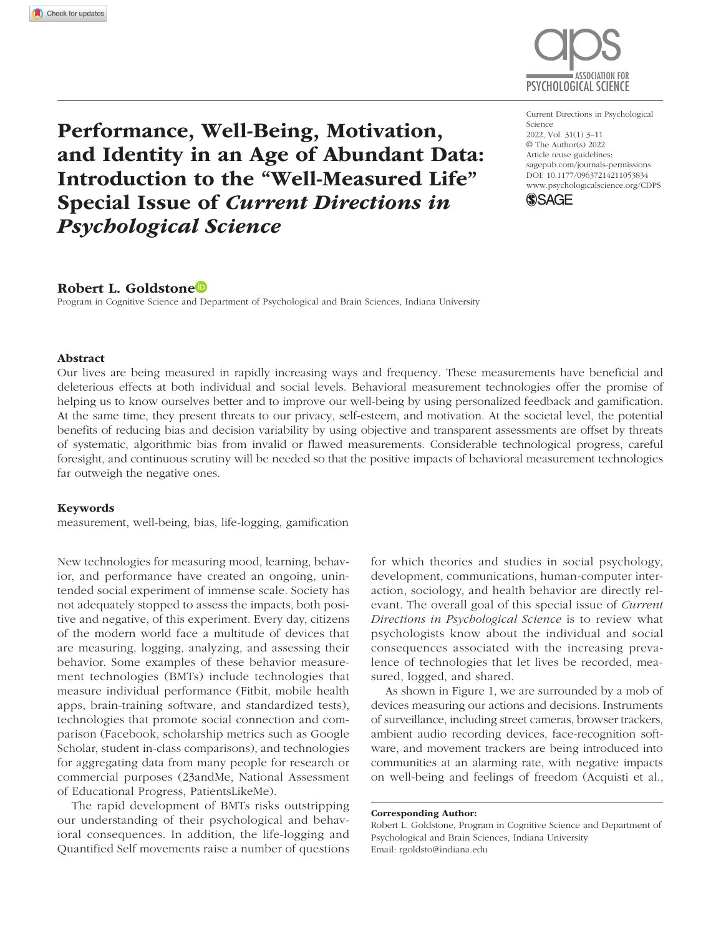

Performance, Well-Being, Motivation, and Identity in an Age of Abundant Data: Introduction to the "Well-Measured Life" Special Issue of *Current Directions in Psychological Science*

https://doi.org/10.1177/09637214211053834 DOI: 10.1177/09637214211053834 Current Directions in Psychological Science 2022, Vol. 31(1) 3–11 © The Author(s) 2022 Article reuse guidelines: [sagepub.com/journals-permissions](https://us.sagepub.com/en-us/journals-permissions) [www.psychologicalscience.org/CDPS](http://www.psychologicalscience.org/cdps)



## Robert L. Goldstone

Program in Cognitive Science and Department of Psychological and Brain Sciences, Indiana University

#### Abstract

Our lives are being measured in rapidly increasing ways and frequency. These measurements have beneficial and deleterious effects at both individual and social levels. Behavioral measurement technologies offer the promise of helping us to know ourselves better and to improve our well-being by using personalized feedback and gamification. At the same time, they present threats to our privacy, self-esteem, and motivation. At the societal level, the potential benefits of reducing bias and decision variability by using objective and transparent assessments are offset by threats of systematic, algorithmic bias from invalid or flawed measurements. Considerable technological progress, careful foresight, and continuous scrutiny will be needed so that the positive impacts of behavioral measurement technologies far outweigh the negative ones.

#### Keywords

measurement, well-being, bias, life-logging, gamification

New technologies for measuring mood, learning, behavior, and performance have created an ongoing, unintended social experiment of immense scale. Society has not adequately stopped to assess the impacts, both positive and negative, of this experiment. Every day, citizens of the modern world face a multitude of devices that are measuring, logging, analyzing, and assessing their behavior. Some examples of these behavior measurement technologies (BMTs) include technologies that measure individual performance (Fitbit, mobile health apps, brain-training software, and standardized tests), technologies that promote social connection and comparison (Facebook, scholarship metrics such as Google Scholar, student in-class comparisons), and technologies for aggregating data from many people for research or commercial purposes (23andMe, National Assessment of Educational Progress, PatientsLikeMe).

The rapid development of BMTs risks outstripping our understanding of their psychological and behavioral consequences. In addition, the life-logging and Quantified Self movements raise a number of questions for which theories and studies in social psychology, development, communications, human-computer interaction, sociology, and health behavior are directly relevant. The overall goal of this special issue of *Current Directions in Psychological Science* is to review what psychologists know about the individual and social consequences associated with the increasing prevalence of technologies that let lives be recorded, measured, logged, and shared.

As shown in Figure 1, we are surrounded by a mob of devices measuring our actions and decisions. Instruments of surveillance, including street cameras, browser trackers, ambient audio recording devices, face-recognition software, and movement trackers are being introduced into communities at an alarming rate, with negative impacts on well-being and feelings of freedom (Acquisti et al.,

Corresponding Author:

Robert L. Goldstone, Program in Cognitive Science and Department of Psychological and Brain Sciences, Indiana University Email: [rgoldsto@indiana.edu](mailto:rgoldsto@indiana.edu)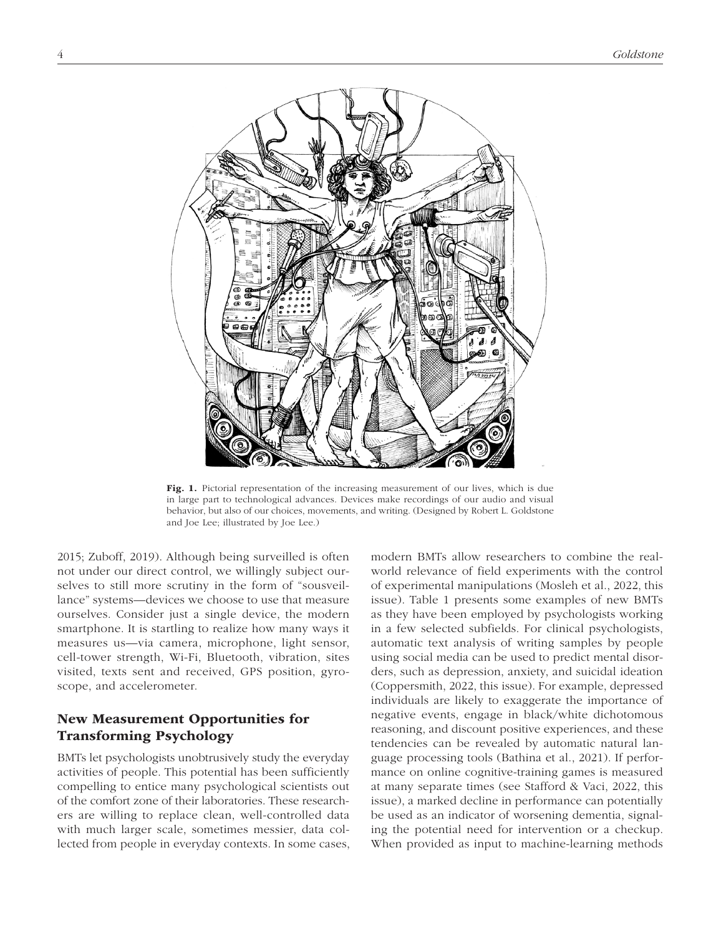

Fig. 1. Pictorial representation of the increasing measurement of our lives, which is due in large part to technological advances. Devices make recordings of our audio and visual behavior, but also of our choices, movements, and writing. (Designed by Robert L. Goldstone and Joe Lee; illustrated by Joe Lee.)

2015; Zuboff, 2019). Although being surveilled is often not under our direct control, we willingly subject ourselves to still more scrutiny in the form of "sousveillance" systems—devices we choose to use that measure ourselves. Consider just a single device, the modern smartphone. It is startling to realize how many ways it measures us—via camera, microphone, light sensor, cell-tower strength, Wi-Fi, Bluetooth, vibration, sites visited, texts sent and received, GPS position, gyroscope, and accelerometer.

# New Measurement Opportunities for Transforming Psychology

BMTs let psychologists unobtrusively study the everyday activities of people. This potential has been sufficiently compelling to entice many psychological scientists out of the comfort zone of their laboratories. These researchers are willing to replace clean, well-controlled data with much larger scale, sometimes messier, data collected from people in everyday contexts. In some cases, modern BMTs allow researchers to combine the realworld relevance of field experiments with the control of experimental manipulations (Mosleh et al., 2022, this issue). Table 1 presents some examples of new BMTs as they have been employed by psychologists working in a few selected subfields. For clinical psychologists, automatic text analysis of writing samples by people using social media can be used to predict mental disorders, such as depression, anxiety, and suicidal ideation (Coppersmith, 2022, this issue). For example, depressed individuals are likely to exaggerate the importance of negative events, engage in black/white dichotomous reasoning, and discount positive experiences, and these tendencies can be revealed by automatic natural language processing tools (Bathina et al., 2021). If performance on online cognitive-training games is measured at many separate times (see Stafford & Vaci, 2022, this issue), a marked decline in performance can potentially be used as an indicator of worsening dementia, signaling the potential need for intervention or a checkup. When provided as input to machine-learning methods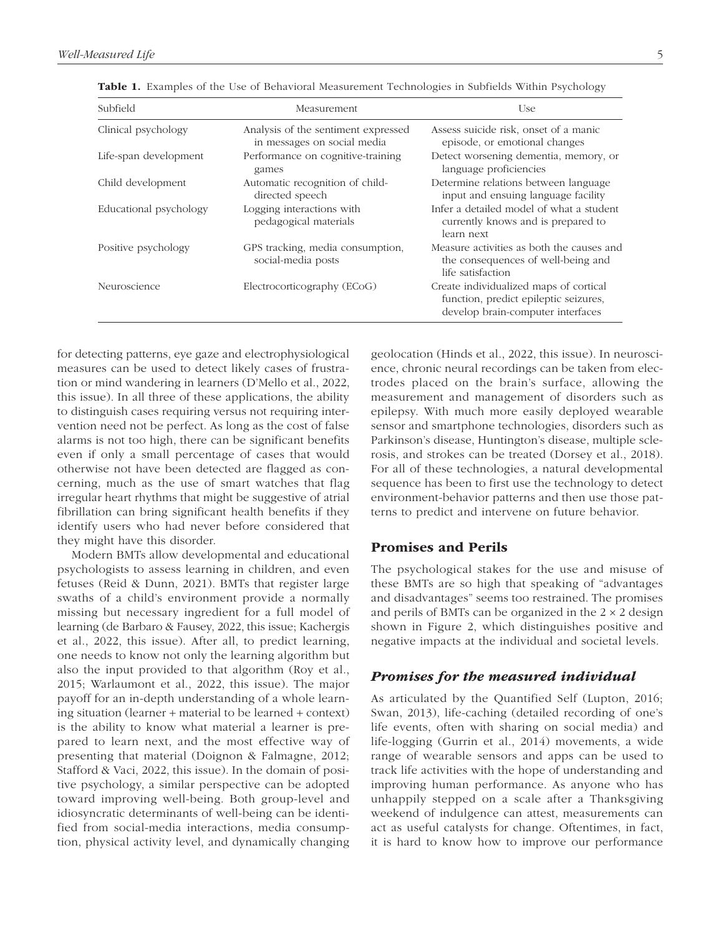| Subfield               | Measurement                                                        | Use                                                                                                                  |
|------------------------|--------------------------------------------------------------------|----------------------------------------------------------------------------------------------------------------------|
| Clinical psychology    | Analysis of the sentiment expressed<br>in messages on social media | Assess suicide risk, onset of a manic<br>episode, or emotional changes                                               |
| Life-span development  | Performance on cognitive-training<br>games                         | Detect worsening dementia, memory, or<br>language proficiencies                                                      |
| Child development      | Automatic recognition of child-<br>directed speech                 | Determine relations between language<br>input and ensuing language facility                                          |
| Educational psychology | Logging interactions with<br>pedagogical materials                 | Infer a detailed model of what a student<br>currently knows and is prepared to<br>learn next                         |
| Positive psychology    | GPS tracking, media consumption,<br>social-media posts             | Measure activities as both the causes and<br>the consequences of well-being and<br>life satisfaction                 |
| Neuroscience           | Electrocorticography (ECoG)                                        | Create individualized maps of cortical<br>function, predict epileptic seizures,<br>develop brain-computer interfaces |

Table 1. Examples of the Use of Behavioral Measurement Technologies in Subfields Within Psychology

for detecting patterns, eye gaze and electrophysiological measures can be used to detect likely cases of frustration or mind wandering in learners (D'Mello et al., 2022, this issue). In all three of these applications, the ability to distinguish cases requiring versus not requiring intervention need not be perfect. As long as the cost of false alarms is not too high, there can be significant benefits even if only a small percentage of cases that would otherwise not have been detected are flagged as concerning, much as the use of smart watches that flag irregular heart rhythms that might be suggestive of atrial fibrillation can bring significant health benefits if they identify users who had never before considered that they might have this disorder.

Modern BMTs allow developmental and educational psychologists to assess learning in children, and even fetuses (Reid & Dunn, 2021). BMTs that register large swaths of a child's environment provide a normally missing but necessary ingredient for a full model of learning (de Barbaro & Fausey, 2022, this issue; Kachergis et al., 2022, this issue). After all, to predict learning, one needs to know not only the learning algorithm but also the input provided to that algorithm (Roy et al., 2015; Warlaumont et al., 2022, this issue). The major payoff for an in-depth understanding of a whole learning situation (learner + material to be learned + context) is the ability to know what material a learner is prepared to learn next, and the most effective way of presenting that material (Doignon & Falmagne, 2012; Stafford & Vaci, 2022, this issue). In the domain of positive psychology, a similar perspective can be adopted toward improving well-being. Both group-level and idiosyncratic determinants of well-being can be identified from social-media interactions, media consumption, physical activity level, and dynamically changing geolocation (Hinds et al., 2022, this issue). In neuroscience, chronic neural recordings can be taken from electrodes placed on the brain's surface, allowing the measurement and management of disorders such as epilepsy. With much more easily deployed wearable sensor and smartphone technologies, disorders such as Parkinson's disease, Huntington's disease, multiple sclerosis, and strokes can be treated (Dorsey et al., 2018). For all of these technologies, a natural developmental sequence has been to first use the technology to detect environment-behavior patterns and then use those patterns to predict and intervene on future behavior.

## Promises and Perils

The psychological stakes for the use and misuse of these BMTs are so high that speaking of "advantages and disadvantages" seems too restrained. The promises and perils of BMTs can be organized in the  $2 \times 2$  design shown in Figure 2, which distinguishes positive and negative impacts at the individual and societal levels.

#### *Promises for the measured individual*

As articulated by the Quantified Self (Lupton, 2016; Swan, 2013), life-caching (detailed recording of one's life events, often with sharing on social media) and life-logging (Gurrin et al., 2014) movements, a wide range of wearable sensors and apps can be used to track life activities with the hope of understanding and improving human performance. As anyone who has unhappily stepped on a scale after a Thanksgiving weekend of indulgence can attest, measurements can act as useful catalysts for change. Oftentimes, in fact, it is hard to know how to improve our performance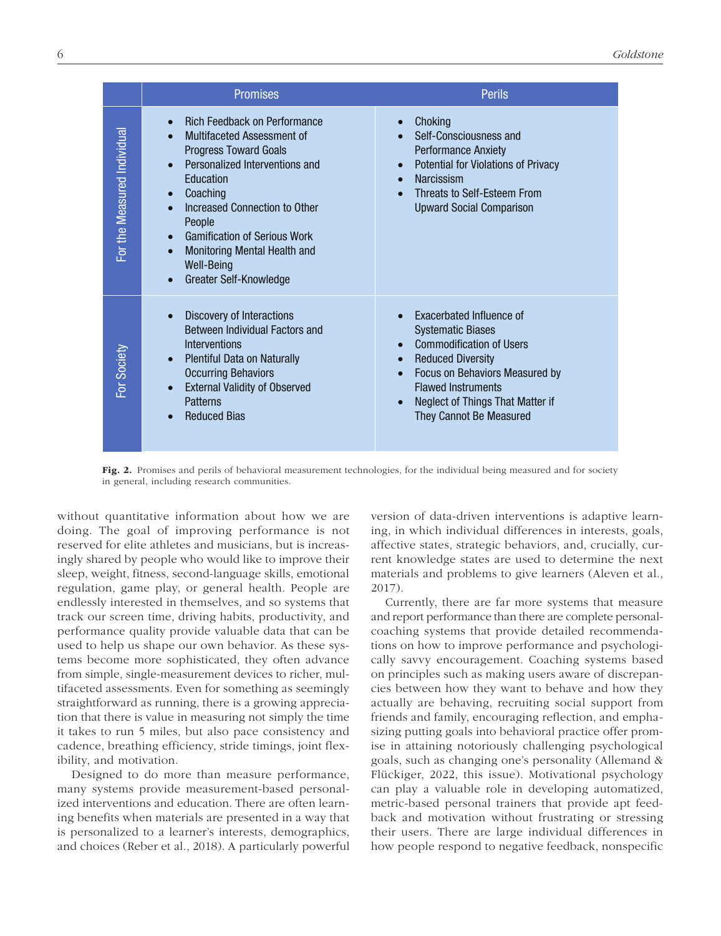|                             | <b>Promises</b>                                                                                                                                                                                                                                                                                                                                                                                                          | <b>Perils</b>                                                                                                                                                                                                                                                                                         |
|-----------------------------|--------------------------------------------------------------------------------------------------------------------------------------------------------------------------------------------------------------------------------------------------------------------------------------------------------------------------------------------------------------------------------------------------------------------------|-------------------------------------------------------------------------------------------------------------------------------------------------------------------------------------------------------------------------------------------------------------------------------------------------------|
| For the Measured Individual | <b>Rich Feedback on Performance</b><br>$\bullet$<br>Multifaceted Assessment of<br><b>Progress Toward Goals</b><br>Personalized Interventions and<br>$\bullet$<br>Education<br>Coaching<br>$\bullet$<br>Increased Connection to Other<br>$\bullet$<br>People<br><b>Gamification of Serious Work</b><br>$\bullet$<br>Monitoring Mental Health and<br>$\bullet$<br><b>Well-Being</b><br>Greater Self-Knowledge<br>$\bullet$ | Choking<br>$\bullet$<br>Self-Consciousness and<br><b>Performance Anxiety</b><br>Potential for Violations of Privacy<br>$\bullet$<br>Narcissism<br>$\bullet$<br>Threats to Self-Esteem From<br><b>Upward Social Comparison</b>                                                                         |
| For Society                 | Discovery of Interactions<br>$\bullet$<br>Between Individual Factors and<br>Interventions<br><b>Plentiful Data on Naturally</b><br>$\bullet$<br><b>Occurring Behaviors</b><br><b>External Validity of Observed</b><br>$\bullet$<br><b>Patterns</b><br><b>Reduced Bias</b>                                                                                                                                                | Exacerbated Influence of<br><b>Systematic Biases</b><br><b>Commodification of Users</b><br>$\bullet$<br><b>Reduced Diversity</b><br>$\bullet$<br>Focus on Behaviors Measured by<br>$\bullet$<br><b>Flawed Instruments</b><br>Neglect of Things That Matter if<br>$\bullet$<br>They Cannot Be Measured |

Fig. 2. Promises and perils of behavioral measurement technologies, for the individual being measured and for society in general, including research communities.

without quantitative information about how we are doing. The goal of improving performance is not reserved for elite athletes and musicians, but is increasingly shared by people who would like to improve their sleep, weight, fitness, second-language skills, emotional regulation, game play, or general health. People are endlessly interested in themselves, and so systems that track our screen time, driving habits, productivity, and performance quality provide valuable data that can be used to help us shape our own behavior. As these systems become more sophisticated, they often advance from simple, single-measurement devices to richer, multifaceted assessments. Even for something as seemingly straightforward as running, there is a growing appreciation that there is value in measuring not simply the time it takes to run 5 miles, but also pace consistency and cadence, breathing efficiency, stride timings, joint flexibility, and motivation.

Designed to do more than measure performance, many systems provide measurement-based personalized interventions and education. There are often learning benefits when materials are presented in a way that is personalized to a learner's interests, demographics, and choices (Reber et al., 2018). A particularly powerful version of data-driven interventions is adaptive learning, in which individual differences in interests, goals, affective states, strategic behaviors, and, crucially, current knowledge states are used to determine the next materials and problems to give learners (Aleven et al., 2017).

Currently, there are far more systems that measure and report performance than there are complete personalcoaching systems that provide detailed recommendations on how to improve performance and psychologically savvy encouragement. Coaching systems based on principles such as making users aware of discrepancies between how they want to behave and how they actually are behaving, recruiting social support from friends and family, encouraging reflection, and emphasizing putting goals into behavioral practice offer promise in attaining notoriously challenging psychological goals, such as changing one's personality (Allemand & Flückiger, 2022, this issue). Motivational psychology can play a valuable role in developing automatized, metric-based personal trainers that provide apt feedback and motivation without frustrating or stressing their users. There are large individual differences in how people respond to negative feedback, nonspecific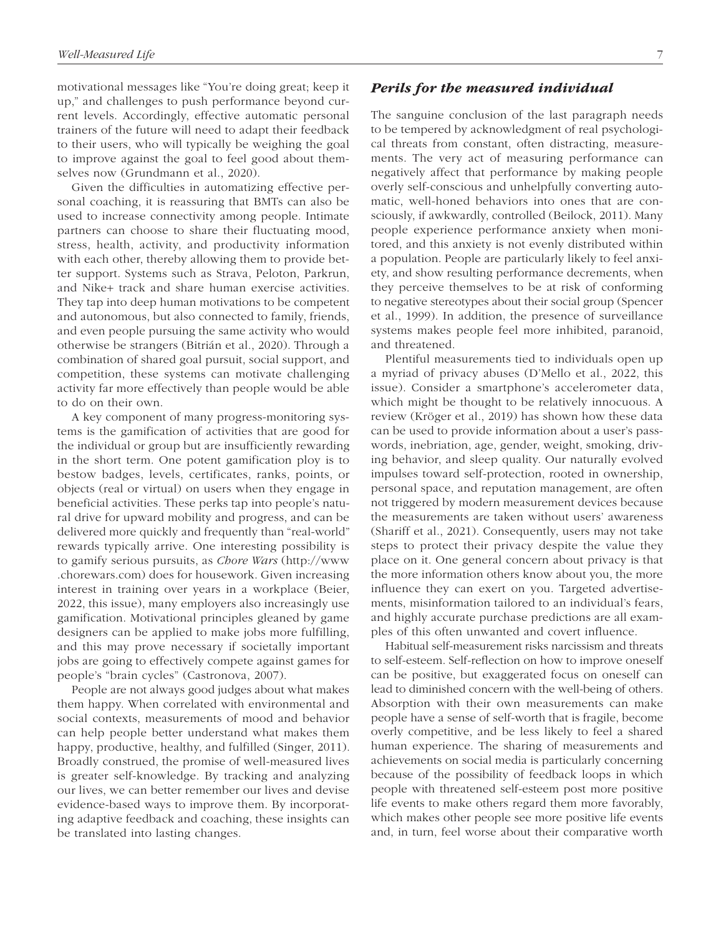motivational messages like "You're doing great; keep it up," and challenges to push performance beyond current levels. Accordingly, effective automatic personal trainers of the future will need to adapt their feedback to their users, who will typically be weighing the goal to improve against the goal to feel good about themselves now (Grundmann et al., 2020).

Given the difficulties in automatizing effective personal coaching, it is reassuring that BMTs can also be used to increase connectivity among people. Intimate partners can choose to share their fluctuating mood, stress, health, activity, and productivity information with each other, thereby allowing them to provide better support. Systems such as Strava, Peloton, Parkrun, and Nike+ track and share human exercise activities. They tap into deep human motivations to be competent and autonomous, but also connected to family, friends, and even people pursuing the same activity who would otherwise be strangers (Bitrián et al., 2020). Through a combination of shared goal pursuit, social support, and competition, these systems can motivate challenging activity far more effectively than people would be able to do on their own.

A key component of many progress-monitoring systems is the gamification of activities that are good for the individual or group but are insufficiently rewarding in the short term. One potent gamification ploy is to bestow badges, levels, certificates, ranks, points, or objects (real or virtual) on users when they engage in beneficial activities. These perks tap into people's natural drive for upward mobility and progress, and can be delivered more quickly and frequently than "real-world" rewards typically arrive. One interesting possibility is to gamify serious pursuits, as *Chore Wars* [\(http://www](http://www.chorewars.com) [.chorewars.com](http://www.chorewars.com)) does for housework. Given increasing interest in training over years in a workplace (Beier, 2022, this issue), many employers also increasingly use gamification. Motivational principles gleaned by game designers can be applied to make jobs more fulfilling, and this may prove necessary if societally important jobs are going to effectively compete against games for people's "brain cycles" (Castronova, 2007).

People are not always good judges about what makes them happy. When correlated with environmental and social contexts, measurements of mood and behavior can help people better understand what makes them happy, productive, healthy, and fulfilled (Singer, 2011). Broadly construed, the promise of well-measured lives is greater self-knowledge. By tracking and analyzing our lives, we can better remember our lives and devise evidence-based ways to improve them. By incorporating adaptive feedback and coaching, these insights can be translated into lasting changes.

The sanguine conclusion of the last paragraph needs to be tempered by acknowledgment of real psychological threats from constant, often distracting, measurements. The very act of measuring performance can negatively affect that performance by making people overly self-conscious and unhelpfully converting automatic, well-honed behaviors into ones that are consciously, if awkwardly, controlled (Beilock, 2011). Many people experience performance anxiety when monitored, and this anxiety is not evenly distributed within a population. People are particularly likely to feel anxiety, and show resulting performance decrements, when they perceive themselves to be at risk of conforming to negative stereotypes about their social group (Spencer et al., 1999). In addition, the presence of surveillance systems makes people feel more inhibited, paranoid, and threatened.

Plentiful measurements tied to individuals open up a myriad of privacy abuses (D'Mello et al., 2022, this issue). Consider a smartphone's accelerometer data, which might be thought to be relatively innocuous. A review (Kröger et al., 2019) has shown how these data can be used to provide information about a user's passwords, inebriation, age, gender, weight, smoking, driving behavior, and sleep quality. Our naturally evolved impulses toward self-protection, rooted in ownership, personal space, and reputation management, are often not triggered by modern measurement devices because the measurements are taken without users' awareness (Shariff et al., 2021). Consequently, users may not take steps to protect their privacy despite the value they place on it. One general concern about privacy is that the more information others know about you, the more influence they can exert on you. Targeted advertisements, misinformation tailored to an individual's fears, and highly accurate purchase predictions are all examples of this often unwanted and covert influence.

Habitual self-measurement risks narcissism and threats to self-esteem. Self-reflection on how to improve oneself can be positive, but exaggerated focus on oneself can lead to diminished concern with the well-being of others. Absorption with their own measurements can make people have a sense of self-worth that is fragile, become overly competitive, and be less likely to feel a shared human experience. The sharing of measurements and achievements on social media is particularly concerning because of the possibility of feedback loops in which people with threatened self-esteem post more positive life events to make others regard them more favorably, which makes other people see more positive life events and, in turn, feel worse about their comparative worth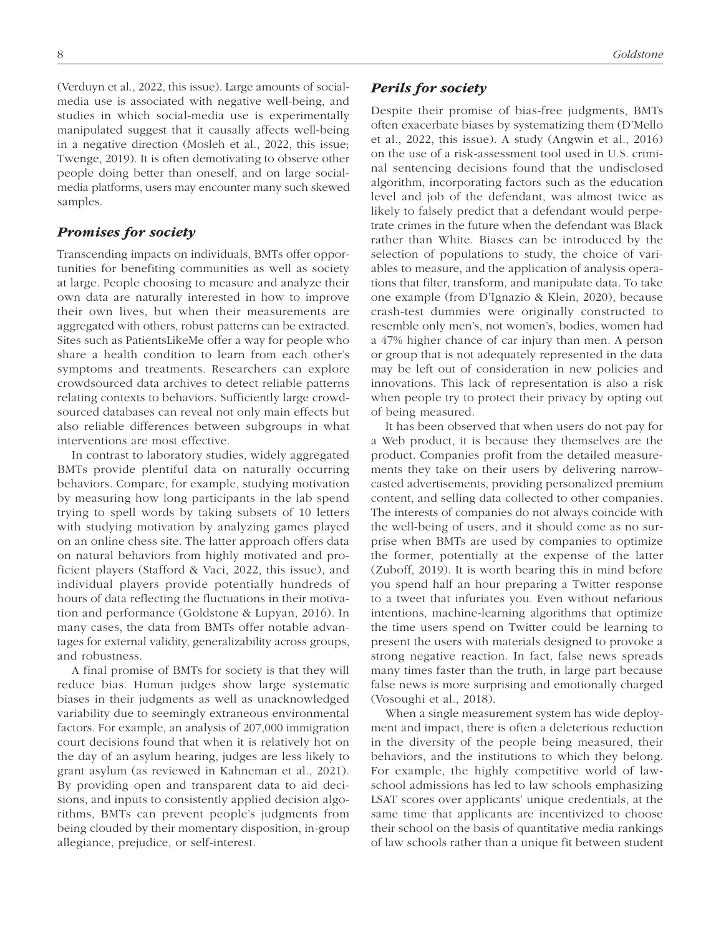(Verduyn et al., 2022, this issue). Large amounts of socialmedia use is associated with negative well-being, and studies in which social-media use is experimentally manipulated suggest that it causally affects well-being in a negative direction (Mosleh et al., 2022, this issue; Twenge, 2019). It is often demotivating to observe other people doing better than oneself, and on large socialmedia platforms, users may encounter many such skewed samples.

#### *Promises for society*

Transcending impacts on individuals, BMTs offer opportunities for benefiting communities as well as society at large. People choosing to measure and analyze their own data are naturally interested in how to improve their own lives, but when their measurements are aggregated with others, robust patterns can be extracted. Sites such as PatientsLikeMe offer a way for people who share a health condition to learn from each other's symptoms and treatments. Researchers can explore crowdsourced data archives to detect reliable patterns relating contexts to behaviors. Sufficiently large crowdsourced databases can reveal not only main effects but also reliable differences between subgroups in what interventions are most effective.

In contrast to laboratory studies, widely aggregated BMTs provide plentiful data on naturally occurring behaviors. Compare, for example, studying motivation by measuring how long participants in the lab spend trying to spell words by taking subsets of 10 letters with studying motivation by analyzing games played on an online chess site. The latter approach offers data on natural behaviors from highly motivated and proficient players (Stafford & Vaci, 2022, this issue), and individual players provide potentially hundreds of hours of data reflecting the fluctuations in their motivation and performance (Goldstone & Lupyan, 2016). In many cases, the data from BMTs offer notable advantages for external validity, generalizability across groups, and robustness.

A final promise of BMTs for society is that they will reduce bias. Human judges show large systematic biases in their judgments as well as unacknowledged variability due to seemingly extraneous environmental factors. For example, an analysis of 207,000 immigration court decisions found that when it is relatively hot on the day of an asylum hearing, judges are less likely to grant asylum (as reviewed in Kahneman et al., 2021). By providing open and transparent data to aid decisions, and inputs to consistently applied decision algorithms, BMTs can prevent people's judgments from being clouded by their momentary disposition, in-group allegiance, prejudice, or self-interest.

## *Perils for society*

Despite their promise of bias-free judgments, BMTs often exacerbate biases by systematizing them (D'Mello et al., 2022, this issue). A study (Angwin et al., 2016) on the use of a risk-assessment tool used in U.S. criminal sentencing decisions found that the undisclosed algorithm, incorporating factors such as the education level and job of the defendant, was almost twice as likely to falsely predict that a defendant would perpetrate crimes in the future when the defendant was Black rather than White. Biases can be introduced by the selection of populations to study, the choice of variables to measure, and the application of analysis operations that filter, transform, and manipulate data. To take one example (from D'Ignazio & Klein, 2020), because crash-test dummies were originally constructed to resemble only men's, not women's, bodies, women had a 47% higher chance of car injury than men. A person or group that is not adequately represented in the data may be left out of consideration in new policies and innovations. This lack of representation is also a risk when people try to protect their privacy by opting out of being measured.

It has been observed that when users do not pay for a Web product, it is because they themselves are the product. Companies profit from the detailed measurements they take on their users by delivering narrowcasted advertisements, providing personalized premium content, and selling data collected to other companies. The interests of companies do not always coincide with the well-being of users, and it should come as no surprise when BMTs are used by companies to optimize the former, potentially at the expense of the latter (Zuboff, 2019). It is worth bearing this in mind before you spend half an hour preparing a Twitter response to a tweet that infuriates you. Even without nefarious intentions, machine-learning algorithms that optimize the time users spend on Twitter could be learning to present the users with materials designed to provoke a strong negative reaction. In fact, false news spreads many times faster than the truth, in large part because false news is more surprising and emotionally charged (Vosoughi et al., 2018).

When a single measurement system has wide deployment and impact, there is often a deleterious reduction in the diversity of the people being measured, their behaviors, and the institutions to which they belong. For example, the highly competitive world of lawschool admissions has led to law schools emphasizing LSAT scores over applicants' unique credentials, at the same time that applicants are incentivized to choose their school on the basis of quantitative media rankings of law schools rather than a unique fit between student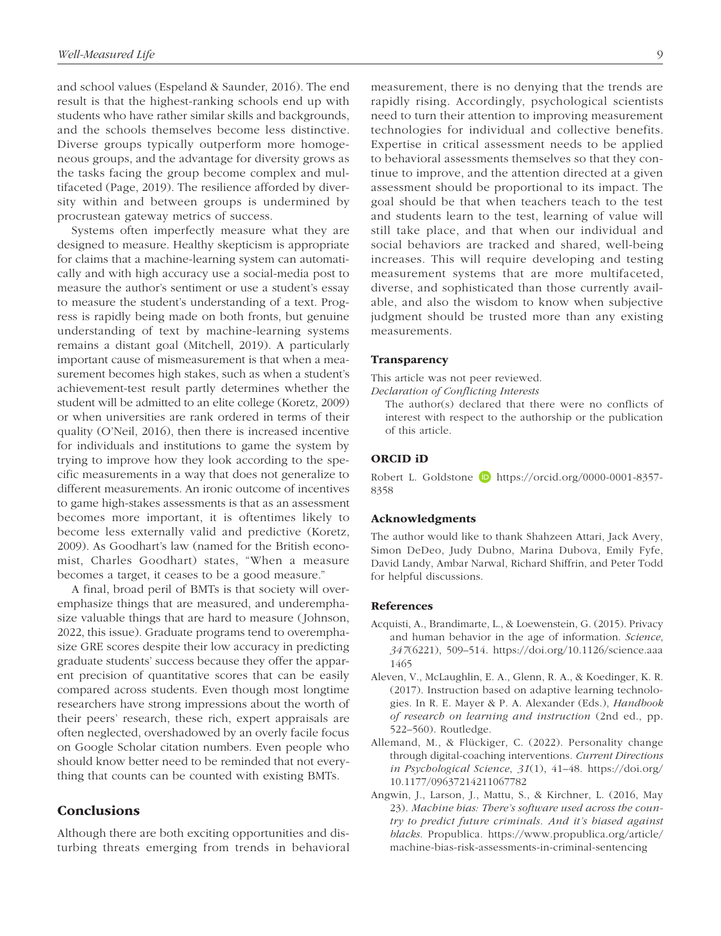and school values (Espeland & Saunder, 2016). The end result is that the highest-ranking schools end up with students who have rather similar skills and backgrounds, and the schools themselves become less distinctive. Diverse groups typically outperform more homogeneous groups, and the advantage for diversity grows as the tasks facing the group become complex and multifaceted (Page, 2019). The resilience afforded by diversity within and between groups is undermined by procrustean gateway metrics of success.

Systems often imperfectly measure what they are designed to measure. Healthy skepticism is appropriate for claims that a machine-learning system can automatically and with high accuracy use a social-media post to measure the author's sentiment or use a student's essay to measure the student's understanding of a text. Progress is rapidly being made on both fronts, but genuine understanding of text by machine-learning systems remains a distant goal (Mitchell, 2019). A particularly important cause of mismeasurement is that when a measurement becomes high stakes, such as when a student's achievement-test result partly determines whether the student will be admitted to an elite college (Koretz, 2009) or when universities are rank ordered in terms of their quality (O'Neil, 2016), then there is increased incentive for individuals and institutions to game the system by trying to improve how they look according to the specific measurements in a way that does not generalize to different measurements. An ironic outcome of incentives to game high-stakes assessments is that as an assessment becomes more important, it is oftentimes likely to become less externally valid and predictive (Koretz, 2009). As Goodhart's law (named for the British economist, Charles Goodhart) states, "When a measure becomes a target, it ceases to be a good measure."

A final, broad peril of BMTs is that society will overemphasize things that are measured, and underemphasize valuable things that are hard to measure (Johnson, 2022, this issue). Graduate programs tend to overemphasize GRE scores despite their low accuracy in predicting graduate students' success because they offer the apparent precision of quantitative scores that can be easily compared across students. Even though most longtime researchers have strong impressions about the worth of their peers' research, these rich, expert appraisals are often neglected, overshadowed by an overly facile focus on Google Scholar citation numbers. Even people who should know better need to be reminded that not everything that counts can be counted with existing BMTs.

# **Conclusions**

Although there are both exciting opportunities and disturbing threats emerging from trends in behavioral measurement, there is no denying that the trends are rapidly rising. Accordingly, psychological scientists need to turn their attention to improving measurement technologies for individual and collective benefits. Expertise in critical assessment needs to be applied to behavioral assessments themselves so that they continue to improve, and the attention directed at a given assessment should be proportional to its impact. The goal should be that when teachers teach to the test and students learn to the test, learning of value will still take place, and that when our individual and social behaviors are tracked and shared, well-being increases. This will require developing and testing measurement systems that are more multifaceted, diverse, and sophisticated than those currently available, and also the wisdom to know when subjective judgment should be trusted more than any existing measurements.

#### **Transparency**

This article was not peer reviewed.

*Declaration of Conflicting Interests*

The author(s) declared that there were no conflicts of interest with respect to the authorship or the publication of this article.

## ORCID iD

Robert L. Goldstone **b** [https://orcid.org/0000-0001-8357-](https://orcid.org/0000-0001-8357-8358) [8358](https://orcid.org/0000-0001-8357-8358)

#### Acknowledgments

The author would like to thank Shahzeen Attari, Jack Avery, Simon DeDeo, Judy Dubno, Marina Dubova, Emily Fyfe, David Landy, Ambar Narwal, Richard Shiffrin, and Peter Todd for helpful discussions.

## References

- Acquisti, A., Brandimarte, L., & Loewenstein, G. (2015). Privacy and human behavior in the age of information. *Science*, *347*(6221), 509–514. [https://doi.org/10.1126/science.aaa](https://doi.org/10.1126/science.aaa1465) [1465](https://doi.org/10.1126/science.aaa1465)
- Aleven, V., McLaughlin, E. A., Glenn, R. A., & Koedinger, K. R. (2017). Instruction based on adaptive learning technologies. In R. E. Mayer & P. A. Alexander (Eds.), *Handbook of research on learning and instruction* (2nd ed., pp. 522–560). Routledge.
- Allemand, M., & Flückiger, C. (2022). Personality change through digital-coaching interventions. *Current Directions in Psychological Science*, *31*(1), 41–48. [https://doi.org/](https://doi.org/10.1177/09637214211067782) [10.1177/09637214211067782](https://doi.org/10.1177/09637214211067782)
- Angwin, J., Larson, J., Mattu, S., & Kirchner, L. (2016, May 23). *Machine bias: There's software used across the country to predict future criminals*. *And it's biased against blacks*. Propublica. [https://www.propublica.org/article/](https://www.propublica.org/article/machine-bias-risk-assessments-in-criminal-sentencing) [machine-bias-risk-assessments-in-criminal-sentencing](https://www.propublica.org/article/machine-bias-risk-assessments-in-criminal-sentencing)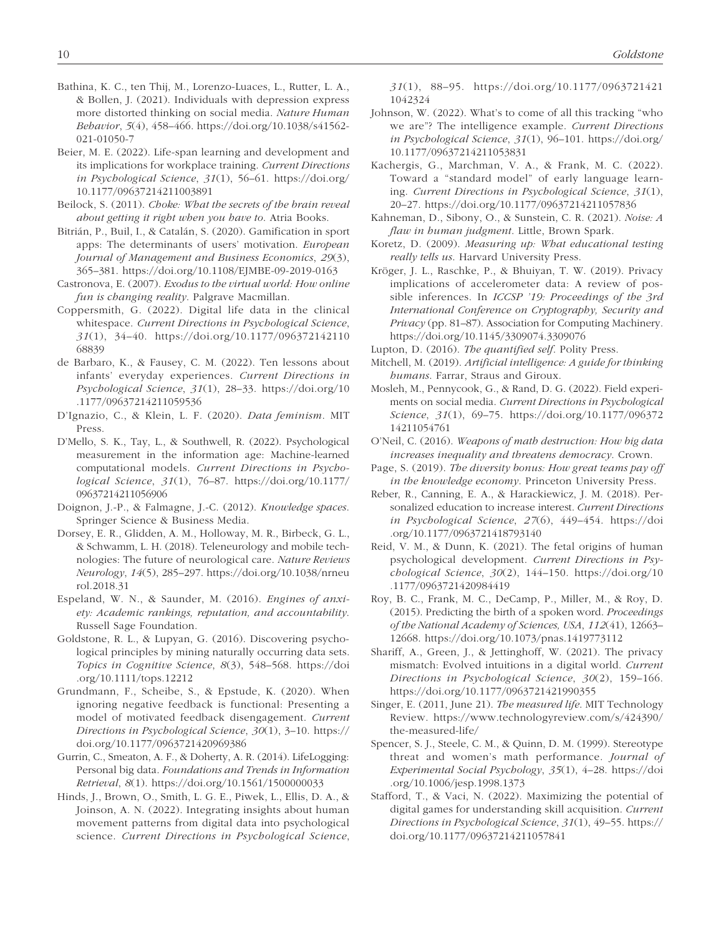- Bathina, K. C., ten Thij, M., Lorenzo-Luaces, L., Rutter, L. A., & Bollen, J. (2021). Individuals with depression express more distorted thinking on social media. *Nature Human Behavior*, *5*(4), 458–466. [https://doi.org/10.1038/s41562-](https://doi.org/10.1038/s41562-021-01050-7) [021-01050-7](https://doi.org/10.1038/s41562-021-01050-7)
- Beier, M. E. (2022). Life-span learning and development and its implications for workplace training. *Current Directions in Psychological Science*, *31*(1), 56–61. [https://doi.org/](https://doi.org/10.1177/09637214211003891) [10.1177/09637214211003891](https://doi.org/10.1177/09637214211003891)
- Beilock, S. (2011). *Choke: What the secrets of the brain reveal about getting it right when you have to*. Atria Books.
- Bitrián, P., Buil, I., & Catalán, S. (2020). Gamification in sport apps: The determinants of users' motivation. *European Journal of Management and Business Economics*, *29*(3), 365–381. <https://doi.org/10.1108/EJMBE-09-2019-0163>
- Castronova, E. (2007). *Exodus to the virtual world: How online fun is changing reality*. Palgrave Macmillan.
- Coppersmith, G. (2022). Digital life data in the clinical whitespace. *Current Directions in Psychological Science*, *31*(1), 34–40. [https://doi.org/10.1177/096372142110](https://doi.org/10.1177/09637214211068839) [68839](https://doi.org/10.1177/09637214211068839)
- de Barbaro, K., & Fausey, C. M. (2022). Ten lessons about infants' everyday experiences. *Current Directions in Psychological Science*, *31*(1), 28–33. [https://doi.org/10](https://doi.org/10.1177/09637214211059536) [.1177/09637214211059536](https://doi.org/10.1177/09637214211059536)
- D'Ignazio, C., & Klein, L. F. (2020). *Data feminism*. MIT Press.
- D'Mello, S. K., Tay, L., & Southwell, R. (2022). Psychological measurement in the information age: Machine-learned computational models. *Current Directions in Psychological Science*, *31*(1), 76–87. [https://doi.org/10.1177/](https://doi.org/10.1177/09637214211056906) [09637214211056906](https://doi.org/10.1177/09637214211056906)
- Doignon, J.-P., & Falmagne, J.-C. (2012). *Knowledge spaces*. Springer Science & Business Media.
- Dorsey, E. R., Glidden, A. M., Holloway, M. R., Birbeck, G. L., & Schwamm, L. H. (2018). Teleneurology and mobile technologies: The future of neurological care. *Nature Reviews Neurology*, *14*(5), 285–297. [https://doi.org/10.1038/nrneu](https://doi.org/10.1038/nrneurol.2018.31) [rol.2018.31](https://doi.org/10.1038/nrneurol.2018.31)
- Espeland, W. N., & Saunder, M. (2016). *Engines of anxiety: Academic rankings, reputation, and accountability*. Russell Sage Foundation.
- Goldstone, R. L., & Lupyan, G. (2016). Discovering psychological principles by mining naturally occurring data sets. *Topics in Cognitive Science*, *8*(3), 548–568. [https://doi](https://doi.org/10.1111/tops.12212) [.org/10.1111/tops.12212](https://doi.org/10.1111/tops.12212)
- Grundmann, F., Scheibe, S., & Epstude, K. (2020). When ignoring negative feedback is functional: Presenting a model of motivated feedback disengagement. *Current Directions in Psychological Science*, *30*(1), 3–10. [https://](https://doi.org/10.1177/0963721420969386) [doi.org/10.1177/0963721420969386](https://doi.org/10.1177/0963721420969386)
- Gurrin, C., Smeaton, A. F., & Doherty, A. R. (2014). LifeLogging: Personal big data. *Foundations and Trends in Information Retrieval*, *8*(1). <https://doi.org/10.1561/1500000033>
- Hinds, J., Brown, O., Smith, L. G. E., Piwek, L., Ellis, D. A., & Joinson, A. N. (2022). Integrating insights about human movement patterns from digital data into psychological science. *Current Directions in Psychological Science*,

*31*(1), 88–95. [https://doi.org/10.1177/0963721421](https://doi.org/10.1177/09637214211042324) [1042324](https://doi.org/10.1177/09637214211042324)

- Johnson, W. (2022). What's to come of all this tracking "who we are"? The intelligence example. *Current Directions in Psychological Science*, *31*(1), 96–101. [https://doi.org/](https://doi.org/10.1177/09637214211053831) [10.1177/09637214211053831](https://doi.org/10.1177/09637214211053831)
- Kachergis, G., Marchman, V. A., & Frank, M. C. (2022). Toward a "standard model" of early language learning. *Current Directions in Psychological Science*, *31*(1), 20–27. <https://doi.org/10.1177/09637214211057836>
- Kahneman, D., Sibony, O., & Sunstein, C. R. (2021). *Noise: A flaw in human judgment*. Little, Brown Spark.
- Koretz, D. (2009). *Measuring up: What educational testing really tells us*. Harvard University Press.
- Kröger, J. L., Raschke, P., & Bhuiyan, T. W. (2019). Privacy implications of accelerometer data: A review of possible inferences. In *ICCSP '19: Proceedings of the 3rd International Conference on Cryptography, Security and Privacy* (pp. 81–87). Association for Computing Machinery. <https://doi.org/10.1145/3309074.3309076>
- Lupton, D. (2016). *The quantified self*. Polity Press.
- Mitchell, M. (2019). *Artificial intelligence: A guide for thinking humans*. Farrar, Straus and Giroux.
- Mosleh, M., Pennycook, G., & Rand, D. G. (2022). Field experiments on social media. *Current Directions in Psychological Science*, *31*(1), 69–75. [https://doi.org/10.1177/096372](https://doi.org/10.1177/09637214211054761) [14211054761](https://doi.org/10.1177/09637214211054761)
- O'Neil, C. (2016). *Weapons of math destruction: How big data increases inequality and threatens democracy*. Crown.
- Page, S. (2019). *The diversity bonus: How great teams pay off in the knowledge economy*. Princeton University Press.
- Reber, R., Canning, E. A., & Harackiewicz, J. M. (2018). Personalized education to increase interest. *Current Directions in Psychological Science*, *27*(6), 449–454. [https://doi](https://doi.org/10.1177/0963721418793140) [.org/10.1177/0963721418793140](https://doi.org/10.1177/0963721418793140)
- Reid, V. M., & Dunn, K. (2021). The fetal origins of human psychological development. *Current Directions in Psychological Science*, *30*(2), 144–150. [https://doi.org/10](https://doi.org/10.1177/0963721420984419) [.1177/0963721420984419](https://doi.org/10.1177/0963721420984419)
- Roy, B. C., Frank, M. C., DeCamp, P., Miller, M., & Roy, D. (2015). Predicting the birth of a spoken word. *Proceedings of the National Academy of Sciences, USA*, *112*(41), 12663– 12668. <https://doi.org/10.1073/pnas.1419773112>
- Shariff, A., Green, J., & Jettinghoff, W. (2021). The privacy mismatch: Evolved intuitions in a digital world. *Current Directions in Psychological Science*, *30*(2), 159–166. <https://doi.org/10.1177/0963721421990355>
- Singer, E. (2011, June 21). *The measured life*. MIT Technology Review. [https://www.technologyreview.com/s/424390/](https://www.technologyreview.com/s/424390/the-measured-life/) [the-measured-life/](https://www.technologyreview.com/s/424390/the-measured-life/)
- Spencer, S. J., Steele, C. M., & Quinn, D. M. (1999). Stereotype threat and women's math performance. *Journal of Experimental Social Psychology*, *35*(1), 4–28. [https://doi](https://doi.org/10.1006/jesp.1998.1373) [.org/10.1006/jesp.1998.1373](https://doi.org/10.1006/jesp.1998.1373)
- Stafford, T., & Vaci, N. (2022). Maximizing the potential of digital games for understanding skill acquisition. *Current Directions in Psychological Science*, *31*(1), 49–55. [https://](https://doi.org/10.1177/09637214211057841) [doi.org/10.1177/09637214211057841](https://doi.org/10.1177/09637214211057841)